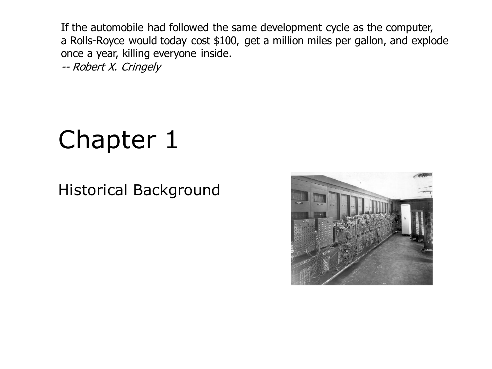If the automobile had followed the same development cycle as the computer, a Rolls-Royce would today cost \$100, get a million miles per gallon, and explode once a year, killing everyone inside.

-- Robert X. Cringely

# Chapter 1

#### Historical Background

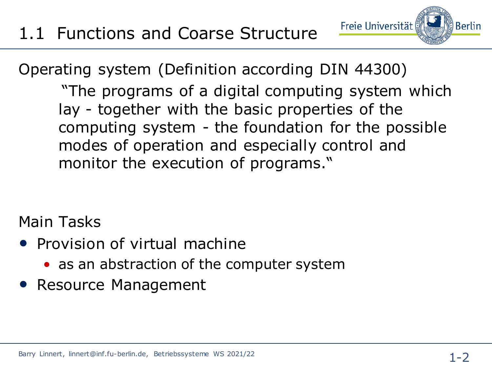Operating system (Definition according DIN 44300)

"The programs of a digital computing system which lay - together with the basic properties of the computing system - the foundation for the possible modes of operation and especially control and monitor the execution of programs."

Freie Universität

Main Tasks

- Provision of virtual machine
	- as an abstraction of the computer system
- Resource Management

**Berlin**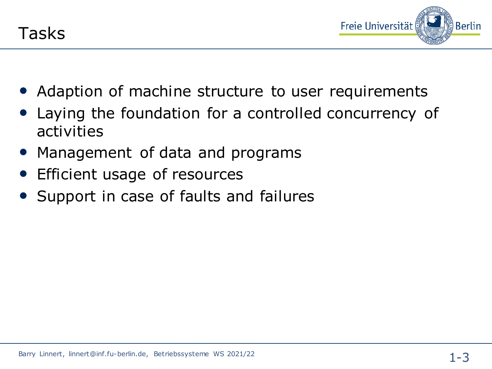

- Adaption of machine structure to user requirements
- Laying the foundation for a controlled concurrency of activities
- Management of data and programs
- Efficient usage of resources
- Support in case of faults and failures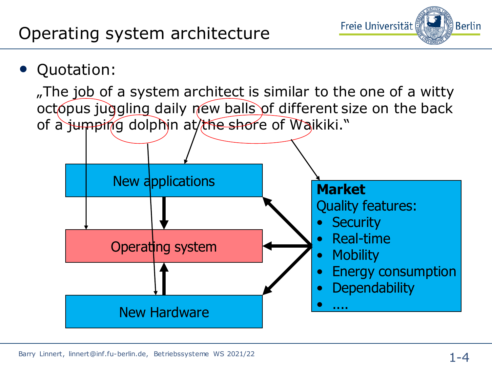

### • Quotation:

"The job of a system architect is similar to the one of a witty octopus juggling daily new balls of different size on the back of a jumping dolphin at the shore of Waikiki."

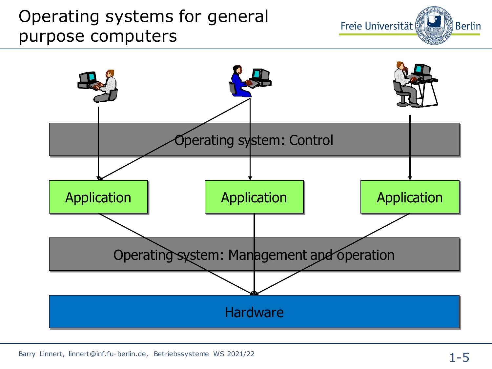## Operating systems for general purpose computers



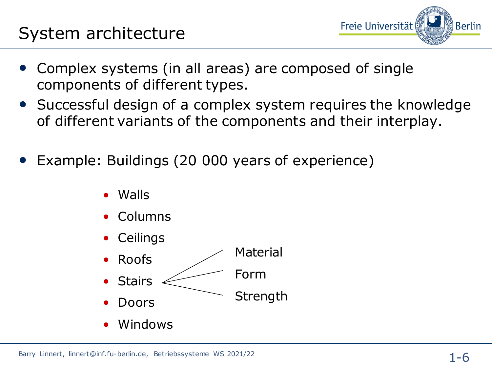

- Complex systems (in all areas) are composed of single components of different types.
- Successful design of a complex system requires the knowledge of different variants of the components and their interplay.
- Example: Buildings (20 000 years of experience)
	- Walls
	- Columns
	- **Ceilings**
	- Roofs **Stairs** • Doors Material Form Strength
	- Windows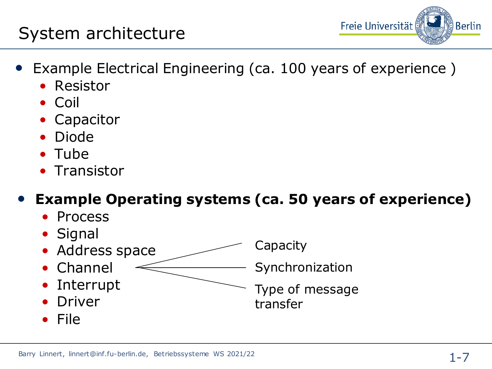#### Barry Linnert, linnert@inf.fu-berlin.de, Betriebssysteme WS 2021/22

### System architecture

- Example Electrical Engineering (ca. 100 years of experience )
	- Resistor
	- Coil
	- **Capacitor**
	- Diode
	- Tube
	- Transistor
	- **Example Operating systems (ca. 50 years of experience)**
		- Process
		- Signal
		- Address space
		- Channel
		- Interrupt
		- Driver
		- File
- **Capacity** 
	- Synchronization
	- Type of message transfer

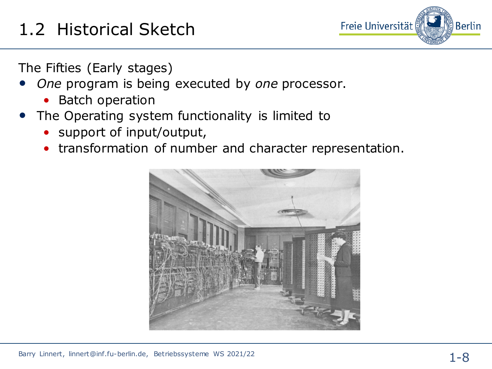

The Fifties (Early stages)

- *One* program is being executed by *one* processor.
	- Batch operation
- The Operating system functionality is limited to
	- support of input/output,
	- transformation of number and character representation.

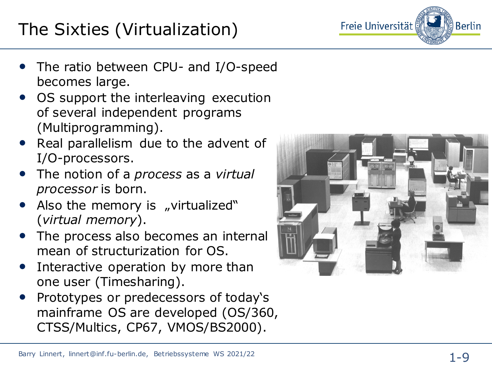# The Sixties (Virtualization)



- The ratio between CPU- and I/O-speed becomes large.
- OS support the interleaving execution of several independent programs (Multiprogramming).
- Real parallelism due to the advent of I/O -processors.
- The notion of a *process* as a *virtual processor* is born.
- Also the memory is "virtualized" (*virtual memory*).
- The process also becomes an internal mean of structurization for OS.
- Interactive operation by more than one user (Timesharing).
- Prototypes or predecessors of today's mainframe OS are developed (OS/360, CTSS/Multics, CP67, VMOS/BS2000).

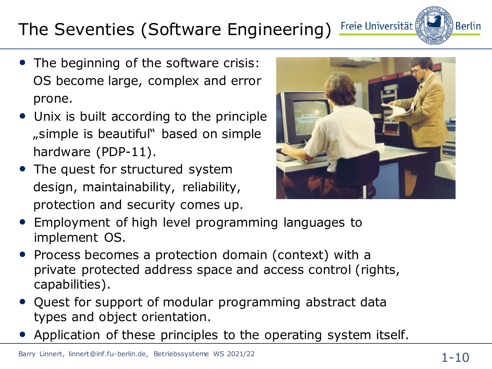# The Seventies (Software Engineering) Freie Universität

- The beginning of the software crisis: OS become large, complex and error prone.
- Unix is built according to the principle "simple is beautiful" based on simple hardware (PDP-11).
- The quest for structured system design, maintainability, reliability, protection and security comes up.



- Employment of high level programming languages to implement OS.
- Process becomes a protection domain (context) with a private protected address space and access control (rights, capabilities).
- Quest for support of modular programming abstract data types and object orientation.
- Application of these principles to the operating system itself.

Berlin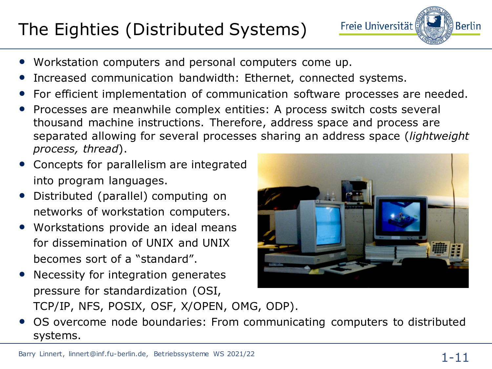# The Eighties (Distributed Systems)

- Workstation computers and personal computers come up.
- Increased communication bandwidth: Ethernet, connected systems.
- For efficient implementation of communication software processes are needed.
- Processes are meanwhile complex entities: A process switch costs several thousand machine instructions. Therefore, address space and process are separated allowing for several processes sharing an address space (*lightweight process, thread*).
- Concepts for parallelism are integrated into program languages.
- Distributed (parallel) computing on networks of workstation computers.
- Workstations provide an ideal means for dissemination of UNIX and UNIX becomes sort of a "standard".
- Necessity for integration generates pressure for standardization (OSI, TCP/IP, NFS, POSIX, OSF, X/OPEN, OMG, ODP).





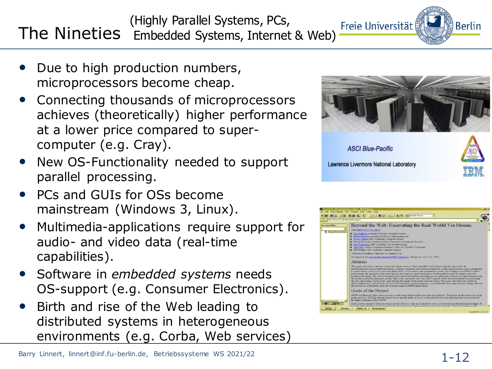- Due to high production numbers, microprocessors become cheap.
- Connecting thousands of microprocessors achieves (theoretically) higher performance at a lower price compared to supercomputer (e.g. Cray).
- New OS-Functionality needed to support parallel processing.
- PCs and GUIs for OSs become mainstream (Windows 3, Linux).
- Multimedia-applications require support for audio- and video data (real-time capabilities).
- Software in *embedded systems* needs OS-support (e.g. Consumer Electronics).
- Birth and rise of the Web leading to distributed systems in heterogeneous environments (e.g. Corba, Web services)





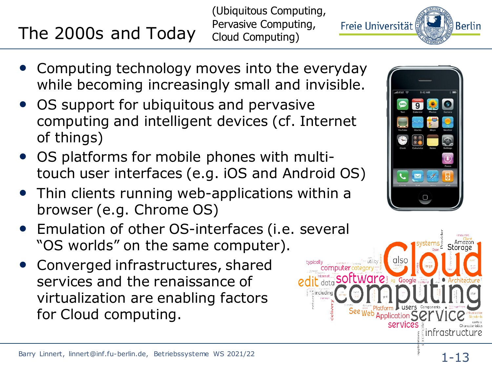#### Barry Linnert, linnert@inf.fu-berlin.de, Betriebssysteme WS 2021/22

infrastructure

# The 2000s and Today

(Ubiquitous Computing, Pervasive Computing, Cloud Computing)

- Computing technology moves into the everyday while becoming increasingly small and invisible.
- OS support for ubiquitous and pervasive computing and intelligent devices (cf. Internet of things)
- OS platforms for mobile phones with multitouch user interfaces (e.g. iOS and Android OS)
- Thin clients running web-applications within a browser (e.g. Chrome OS)
- Emulation of other OS-interfaces (i.e. several "OS worlds" on the same computer).
- Converged infrastructures, shared services and the renaissance of virtualization are enabling factors for Cloud computing.



data software

eg Google

servici

See Web Application S



<u>်) Berlin</u>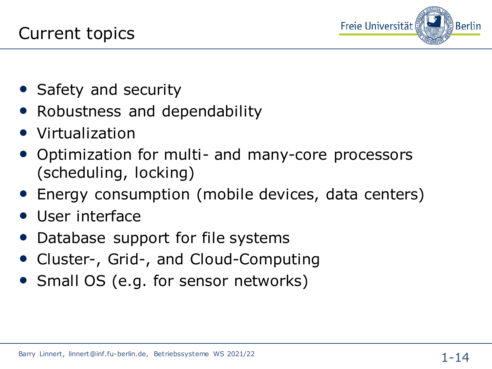

- Safety and security
- Robustness and dependability
- Virtualization
- Optimization for multi- and many-core processors (scheduling, locking)
- Energy consumption (mobile devices, data centers)
- User interface
- Database support for file systems
- Cluster-, Grid-, and Cloud-Computing
- Small OS (e.g. for sensor networks)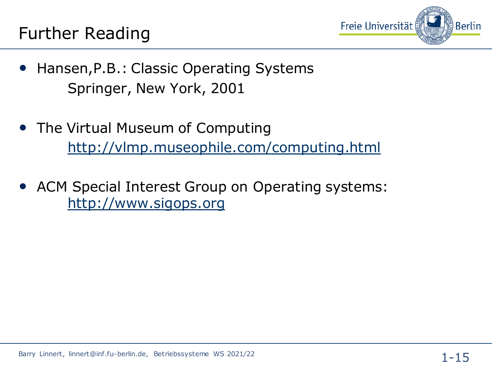

- Hansen,P.B.: Classic Operating Systems Springer, New York, 2001
- The Virtual Museum of Computing <http://vlmp.museophile.com/computing.html>
- ACM Special Interest Group on Operating systems: [http://www.sigops.org](http://www.sigops.org/)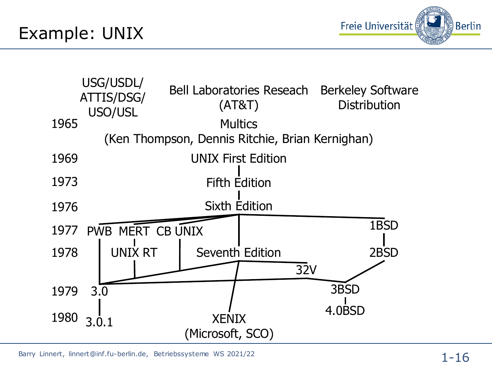Example: UNIX





Barry Linnert, linnert@inf.fu-berlin.de, Betriebssysteme WS 2021/22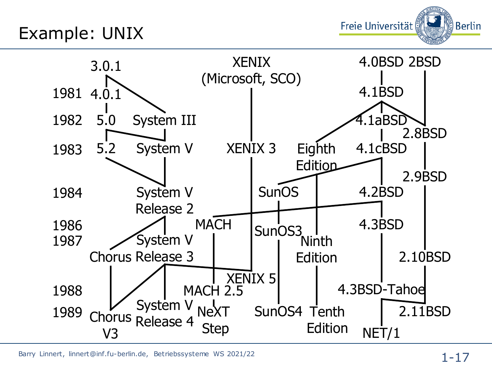Example: UNIX





Barry Linnert, linnert@inf.fu-berlin.de, Betriebssysteme WS 2021/22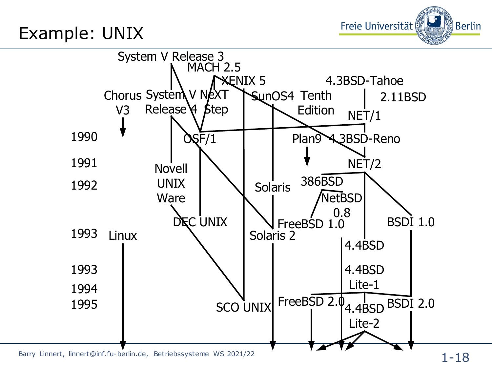Example: UNIX

Freie Universität <u>္ဗ် Berlin</u>